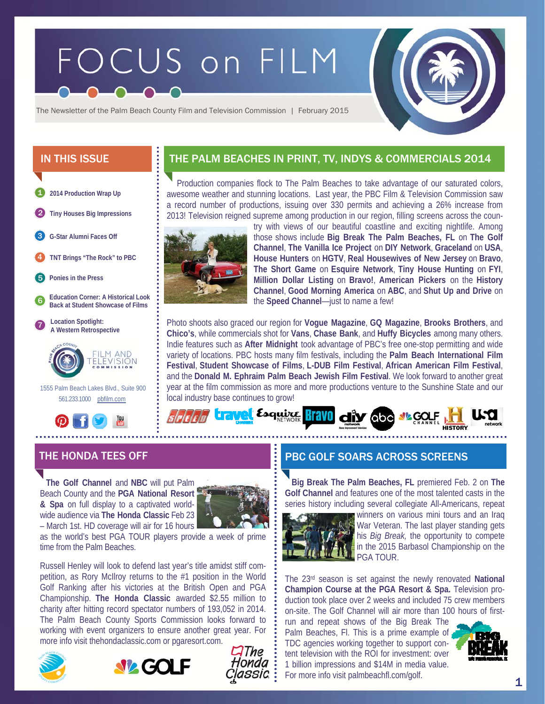# FOCUS on FILM



The Newsletter of the Palm Beach County Film and Television Commission | February 2015

- **2014 Production Wrap Up**  1
- 2 **Tiny Houses Big Impressions**

**G-Star Alumni Faces Off**  3

4 **TNT Brings "The Rock" to PBC** 

5 **Ponies in the Press** 

6 **Education Corner: A Historical Look Back at Student Showcase of Films** 





 1555 Palm Beach Lakes Blvd., Suite 900 561.233.1000 pbfilm.com



# IN THIS ISSUE  $\qquad \qquad$  THE PALM BEACHES IN PRINT, TV, INDYS & COMMERCIALS 2014

 Production companies flock to The Palm Beaches to take advantage of our saturated colors, awesome weather and stunning locations. Last year, the PBC Film & Television Commission saw a record number of productions, issuing over 330 permits and achieving a 26% increase from 2013! Television reigned supreme among production in our region, filling screens across the coun-



try with views of our beautiful coastline and exciting nightlife. Among those shows include **Big Break The Palm Beaches, FL** on **The Golf Channel**, **The Vanilla Ice Project** on **DIY Network**, **Graceland** on **USA**, **House Hunters** on **HGTV**, **Real Housewives of New Jersey** on **Bravo**, **The Short Game** on **Esquire Network**, **Tiny House Hunting** on **FYI**, **Million Dollar Listing** on **Bravo!**, **American Pickers** on the **History Channel**, **Good Morning America** on **ABC**, and **Shut Up and Drive** on the **Speed Channel**—just to name a few!

Photo shoots also graced our region for **Vogue Magazine**, **GQ Magazine**, **Brooks Brothers**, and **Chico's**, while commercials shot for **Vans**, **Chase Bank**, and **Huffy Bicycles** among many others. Indie features such as **After Midnight** took advantage of PBC's free one-stop permitting and wide variety of locations. PBC hosts many film festivals, including the **Palm Beach International Film Festival**, **Student Showcase of Films**, **L-DUB Film Festival**, **African American Film Festival**, and the **Donald M. Ephraim Palm Beach Jewish Film Festival**. We look forward to another great year at the film commission as more and more productions venture to the Sunshine State and our local industry base continues to grow!



 **The Golf Channel** and **NBC** will put Palm Beach County and the **PGA National Resort & Spa** on full display to a captivated worldwide audience via **The Honda Classic** Feb 23 – March 1st. HD coverage will air for 16 hours



as the world's best PGA TOUR players provide a week of prime time from the Palm Beaches.

Russell Henley will look to defend last year's title amidst stiff competition, as Rory McIlroy returns to the #1 position in the World Golf Ranking after his victories at the British Open and PGA Championship. **The Honda Classic** awarded \$2.55 million to charity after hitting record spectator numbers of 193,052 in 2014. The Palm Beach County Sports Commission looks forward to working with event organizers to ensure another great year. For more info visit thehondaclassic.com or pgaresort.com.







# THE HONDA TEES OFF PBC GOLF SOARS ACROSS SCREENS

**Big Break The Palm Beaches, FL** premiered Feb. 2 on **The Golf Channel** and features one of the most talented casts in the series history including several collegiate All-Americans, repeat



winners on various mini tours and an Iraq War Veteran. The last player standing gets his *Big Break,* the opportunity to compete in the 2015 Barbasol Championship on the PGA TOUR.

The 23rd season is set against the newly renovated **National Champion Course at the PGA Resort & Spa.** Television production took place over 2 weeks and included 75 crew members on-site. The Golf Channel will air more than 100 hours of first-

run and repeat shows of the Big Break The Palm Beaches, Fl. This is a prime example of TDC agencies working together to support content television with the ROI for investment: over 1 billion impressions and \$14M in media value. For more info visit palmbeachfl.com/golf.

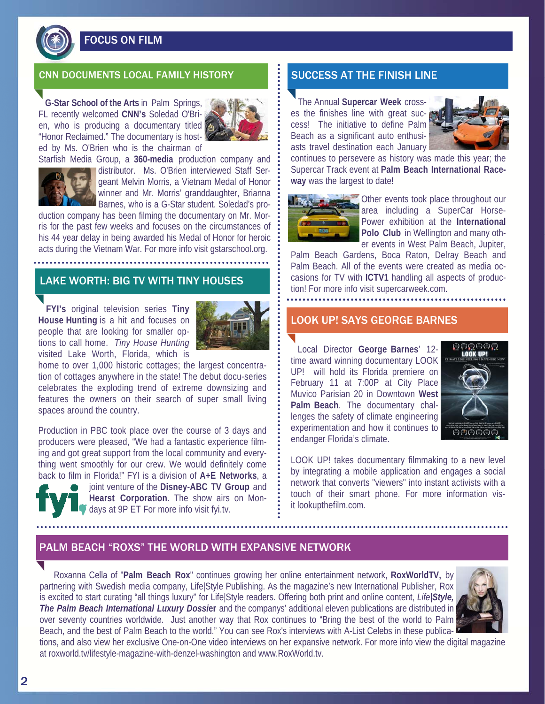

FOCUS ON FILM

### CNN DOCUMENTS LOCAL FAMILY HISTORY  $\begin{array}{|c|c|c|c|c|}\hline \textbf{.} & \textbf{SUCCESS AT THE FINISH LINE} \hline \end{array}$

**G-Star School of the Arts** in Palm Springs, FL recently welcomed **CNN's** Soledad O'Brien, who is producing a documentary titled "Honor Reclaimed." The documentary is hosted by Ms. O'Brien who is the chairman of



Starfish Media Group, a **360-media** production company and



distributor. Ms. O'Brien interviewed Staff Sergeant Melvin Morris, a Vietnam Medal of Honor winner and Mr. Morris' granddaughter, Brianna Barnes, who is a G-Star student. Soledad's pro-

duction company has been filming the documentary on Mr. Morris for the past few weeks and focuses on the circumstances of his 44 year delay in being awarded his Medal of Honor for heroic acts during the Vietnam War. For more info visit gstarschool.org.

# LAKE WORTH: BIG TV WITH TINY HOUSES

**FYI's** original television series **Tiny House Hunting** is a hit and focuses on people that are looking for smaller options to call home. *Tiny House Hunting*  visited Lake Worth, Florida, which is



home to over 1,000 historic cottages; the largest concentration of cottages anywhere in the state! The debut docu-series celebrates the exploding trend of extreme downsizing and features the owners on their search of super small living spaces around the country.

Production in PBC took place over the course of 3 days and producers were pleased, "We had a fantastic experience filming and got great support from the local community and everything went smoothly for our crew. We would definitely come back to film in Florida!" FYI is a division of **A+E Networks**, a

joint venture of the **Disney-ABC TV Group** and **Hearst Corporation**. The show airs on Mondays at 9P ET For more info visit fyi.tv.

 The Annual **Supercar Week** crosses the finishes line with great success! The initiative to define Palm Beach as a significant auto enthusiasts travel destination each January



continues to persevere as history was made this year; the Supercar Track event at **Palm Beach International Raceway** was the largest to date!



Other events took place throughout our area including a SuperCar Horse-Power exhibition at the **International Polo Club** in Wellington and many other events in West Palm Beach, Jupiter,

Palm Beach Gardens, Boca Raton, Delray Beach and Palm Beach. All of the events were created as media occasions for TV with **ICTV1** handling all aspects of production! For more info visit supercarweek.com.

#### LOOK UP! SAYS GEORGE BARNES

 Local Director **George Barnes**' 12 time award winning documentary LOOK UP! will hold its Florida premiere on February 11 at 7:00P at City Place Muvico Parisian 20 in Downtown **West Palm Beach**. The documentary challenges the safety of climate engineering experimentation and how it continues to endanger Florida's climate.



LOOK UP! takes documentary filmmaking to a new level by integrating a mobile application and engages a social network that converts "viewers" into instant activists with a touch of their smart phone. For more information visit lookupthefilm.com.

## PALM BEACH "ROXS" THE WORLD WITH EXPANSIVE NETWORK

Roxanna Cella of "**Palm Beach Rox**" continues growing her online entertainment network, **RoxWorldTV,** by partnering with Swedish media company, Life|Style Publishing. As the magazine's new International Publisher, Rox is excited to start curating "all things luxury" for Life|Style readers. Offering both print and online content, *Life|Style, The Palm Beach International Luxury Dossi***er** and the companys' additional eleven publications are distributed in over seventy countries worldwide. Just another way that Rox continues to "Bring the best of the world to Palm Beach, and the best of Palm Beach to the world." You can see Rox's interviews with A-List Celebs in these publica-



tions, and also view her exclusive One-on-One video interviews on her expansive network. For more info view the digital magazine at roxworld.tv/lifestyle-magazine-with-denzel-washington and www.RoxWorld.tv.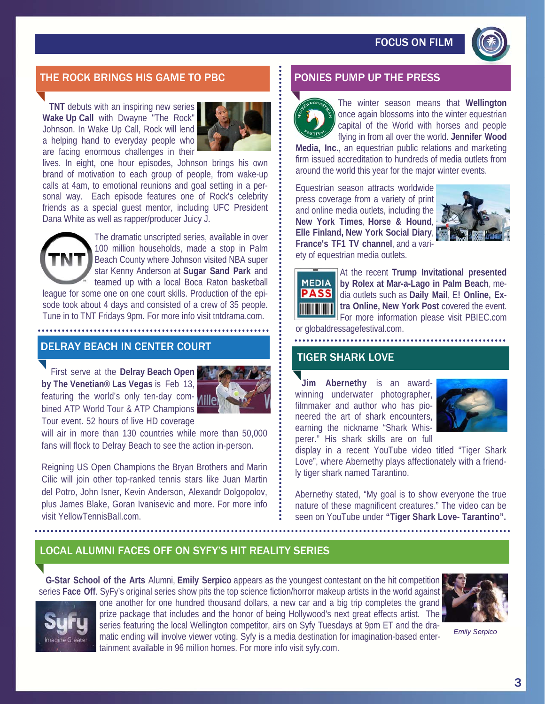# FOCUS ON FILM



## THE ROCK BRINGS HIS GAME TO PBC **FOOD BEE** PONIES PUMP UP THE PRESS

**TNT** debuts with an inspiring new series **Wake Up Call** with Dwayne "The Rock" Johnson. In Wake Up Call, Rock will lend a helping hand to everyday people who are facing enormous challenges in their



lives. In eight, one hour episodes, Johnson brings his own brand of motivation to each group of people, from wake-up calls at 4am, to emotional reunions and goal setting in a personal way. Each episode features one of Rock's celebrity friends as a special guest mentor, including UFC President Dana White as well as rapper/producer Juicy J.



The dramatic unscripted series, available in over 100 million households, made a stop in Palm Beach County where Johnson visited NBA super star Kenny Anderson at **Sugar Sand Park** and teamed up with a local Boca Raton basketball

league for some one on one court skills. Production of the episode took about 4 days and consisted of a crew of 35 people. Tune in to TNT Fridays 9pm. For more info visit tntdrama.com.

#### DELRAY BEACH IN CENTER COURT

 First serve at the **Delray Beach Open by The Venetian® Las Vegas** is Feb 13, featuring the world's only ten-day combined ATP World Tour & ATP Champions Tour event. 52 hours of live HD coverage



will air in more than 130 countries while more than 50,000 fans will flock to Delray Beach to see the action in-person.

Reigning US Open Champions the Bryan Brothers and Marin Cilic will join other top-ranked tennis stars like Juan Martin del Potro, John Isner, Kevin Anderson, Alexandr Dolgopolov, plus James Blake, Goran Ivanisevic and more. For more info visit YellowTennisBall.com.



The winter season means that **Wellington** once again blossoms into the winter equestrian capital of the World with horses and people flying in from all over the world. **Jennifer Wood** 

**Media, Inc.**, an equestrian public relations and marketing firm issued accreditation to hundreds of media outlets from around the world this year for the major winter events.

Equestrian season attracts worldwide press coverage from a variety of print and online media outlets, including the **New York Times**, **Horse & Hound**, **Elle Finland, New York Social Diary**, **France's TF1 TV channel**, and a variety of equestrian media outlets.





At the recent **Trump Invitational presented by Rolex at Mar-a-Lago in Palm Beach**, media outlets such as **Daily Mail**, E**! Online, Extra Online, New York Post** covered the event. For more information please visit PBIEC.com

or globaldressagefestival.com. <u>. . . . . . . . . . . .</u>

#### TIGER SHARK LOVE

 **Jim Abernethy** is an awardwinning underwater photographer, filmmaker and author who has pioneered the art of shark encounters, earning the nickname "Shark Whisperer." His shark skills are on full



display in a recent YouTube video titled "Tiger Shark Love", where Abernethy plays affectionately with a friendly tiger shark named Tarantino.

Abernethy stated, "My goal is to show everyone the true nature of these magnificent creatures." The video can be seen on YouTube under **"Tiger Shark Love- Tarantino".**

## LOCAL ALUMNI FACES OFF ON SYFY'S HIT REALITY SERIES

 **G-Star School of the Arts** Alumni, **Emily Serpico** appears as the youngest contestant on the hit competition series **Face Off**. SyFy's original series show pits the top science fiction/horror makeup artists in the world against



one another for one hundred thousand dollars, a new car and a big trip completes the grand prize package that includes and the honor of being Hollywood's next great effects artist. The series featuring the local Wellington competitor, airs on Syfy Tuesdays at 9pm ET and the dramatic ending will involve viewer voting. Syfy is a media destination for imagination-based entertainment available in 96 million homes. For more info visit syfy.com.



*Emily Serpico*